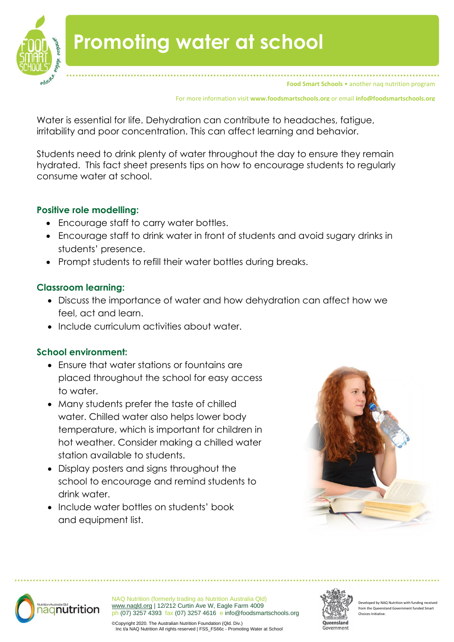

**Food Smart Schools** • another nag nutrition program

For more information visit **www.foodsmartschools.org** or email **info@foodsmartschools.org**

Water is essential for life. Dehydration can contribute to headaches, fatigue, irritability and poor concentration. This can affect learning and behavior.

Students need to drink plenty of water throughout the day to ensure they remain hydrated. This fact sheet presents tips on how to encourage students to regularly consume water at school.

### **Positive role modelling:**

- Encourage staff to carry water bottles.
- Encourage staff to drink water in front of students and avoid sugary drinks in students' presence.
- Prompt students to refill their water bottles during breaks.

## **Classroom learning:**

- Discuss the importance of water and how dehydration can affect how we feel, act and learn.
- Include curriculum activities about water.

# **School environment:**

- Ensure that water stations or fountains are placed throughout the school for easy access to water.
- Many students prefer the taste of chilled water. Chilled water also helps lower body temperature, which is important for children in hot weather. Consider making a chilled water station available to students.
- Display posters and signs throughout the school to encourage and remind students to drink water.
- Include water bottles on students' book and equipment list.





NAQ Nutrition (formerly trading as Nutrition Australia Qld) [www.naqld.org](http://www.naqld.org/) | 12/212 Curtin Ave W, Eagle Farm 4009 bh (07) 3257 4393 fax (07) 3257 4616 e info@foodsmartschools.org



eloped by NAQ Nutrition with funding rec from the Queensland Government Choices Initiative.

©Copyright 2020. The Australian Nutrition Foundation (Qld. Div.) Ing the served increment the measurement of the strip of the strip water at School